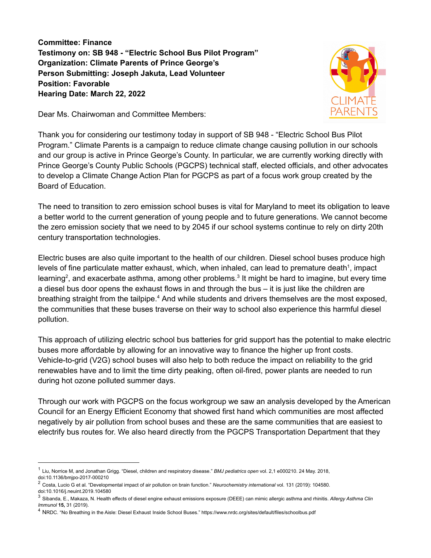**Committee: Finance Testimony on: SB 948 - "Electric School Bus Pilot Program" Organization: Climate Parents of Prince George's Person Submitting: Joseph Jakuta, Lead Volunteer Position: Favorable Hearing Date: March 22, 2022**



Dear Ms. Chairwoman and Committee Members:

Thank you for considering our testimony today in support of SB 948 - "Electric School Bus Pilot Program." Climate Parents is a campaign to reduce climate change causing pollution in our schools and our group is active in Prince George's County. In particular, we are currently working directly with Prince George's County Public Schools (PGCPS) technical staff, elected officials, and other advocates to develop a Climate Change Action Plan for PGCPS as part of a focus work group created by the Board of Education.

The need to transition to zero emission school buses is vital for Maryland to meet its obligation to leave a better world to the current generation of young people and to future generations. We cannot become the zero emission society that we need to by 2045 if our school systems continue to rely on dirty 20th century transportation technologies.

Electric buses are also quite important to the health of our children. Diesel school buses produce high levels of fine particulate matter exhaust, which, when inhaled, can lead to premature death<sup>1</sup>, impact learning<sup>2</sup>, and exacerbate asthma, among other problems.<sup>3</sup> It might be hard to imagine, but every time a diesel bus door opens the exhaust flows in and through the bus – it is just like the children are breathing straight from the tailpipe.<sup>4</sup> And while students and drivers themselves are the most exposed, the communities that these buses traverse on their way to school also experience this harmful diesel pollution.

This approach of utilizing electric school bus batteries for grid support has the potential to make electric buses more affordable by allowing for an innovative way to finance the higher up front costs. Vehicle-to-grid (V2G) school buses will also help to both reduce the impact on reliability to the grid renewables have and to limit the time dirty peaking, often oil-fired, power plants are needed to run during hot ozone polluted summer days.

Through our work with PGCPS on the focus workgroup we saw an analysis developed by the American Council for an Energy Efficient Economy that showed first hand which communities are most affected negatively by air pollution from school buses and these are the same communities that are easiest to electrify bus routes for. We also heard directly from the PGCPS Transportation Department that they

<sup>1</sup> Liu, Norrice M, and Jonathan Grigg. "Diesel, children and respiratory disease." *BMJ pediatrics open* vol. 2,1 e000210. 24 May. 2018, doi:10.1136/bmjpo-2017-000210

<sup>2</sup> Costa, Lucio G et al. "Developmental impact of air pollution on brain function." *Neurochemistry international* vol. 131 (2019): 104580. doi:10.1016/j.neuint.2019.104580

<sup>3</sup> Sibanda, E., Makaza, N. Health effects of diesel engine exhaust emissions exposure (DEEE) can mimic allergic asthma and rhinitis. *Allergy Asthma Clin Immunol* **15,** 31 (2019).

<sup>4</sup> NRDC. "No Breathing in the Aisle: Diesel Exhaust Inside School Buses." https://www.nrdc.org/sites/default/files/schoolbus.pdf